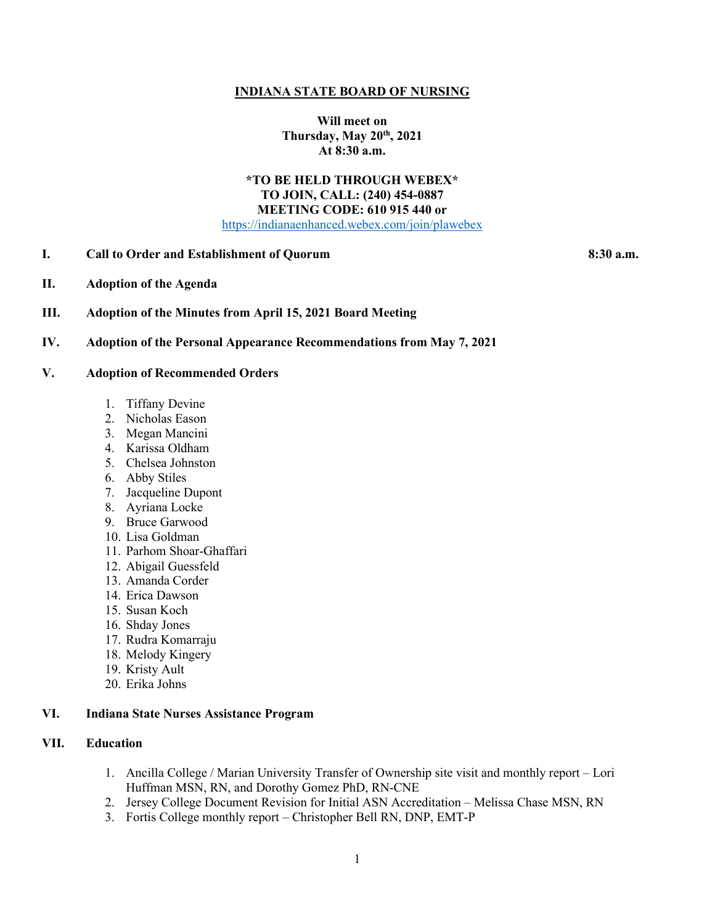#### **INDIANA STATE BOARD OF NURSING**

**Will meet on Thursday, May 20th, 2021 At 8:30 a.m.**

# **\*TO BE HELD THROUGH WEBEX\* TO JOIN, CALL: (240) 454-0887 MEETING CODE: 610 915 440 or**

[https://indianaenhanced.webex.com/join/plawebex](https://indianaenhanced.webex.com/join/PLAWebex)

# **I. Call to Order and Establishment of Quorum 8:30 a.m.**

**II. Adoption of the Agenda**

#### **III. Adoption of the Minutes from April 15, 2021 Board Meeting**

### **IV. Adoption of the Personal Appearance Recommendations from May 7, 2021**

### **V. Adoption of Recommended Orders**

- 1. Tiffany Devine
- 2. Nicholas Eason
- 3. Megan Mancini
- 4. Karissa Oldham
- 5. Chelsea Johnston
- 6. Abby Stiles
- 7. Jacqueline Dupont
- 8. Ayriana Locke
- 9. Bruce Garwood
- 10. Lisa Goldman
- 11. Parhom Shoar-Ghaffari
- 12. Abigail Guessfeld
- 13. Amanda Corder
- 14. Erica Dawson
- 15. Susan Koch
- 16. Shday Jones
- 17. Rudra Komarraju
- 18. Melody Kingery
- 19. Kristy Ault
- 20. Erika Johns

# **VI. Indiana State Nurses Assistance Program**

# **VII. Education**

- 1. Ancilla College / Marian University Transfer of Ownership site visit and monthly report Lori Huffman MSN, RN, and Dorothy Gomez PhD, RN-CNE
- 2. Jersey College Document Revision for Initial ASN Accreditation Melissa Chase MSN, RN
- 3. Fortis College monthly report Christopher Bell RN, DNP, EMT-P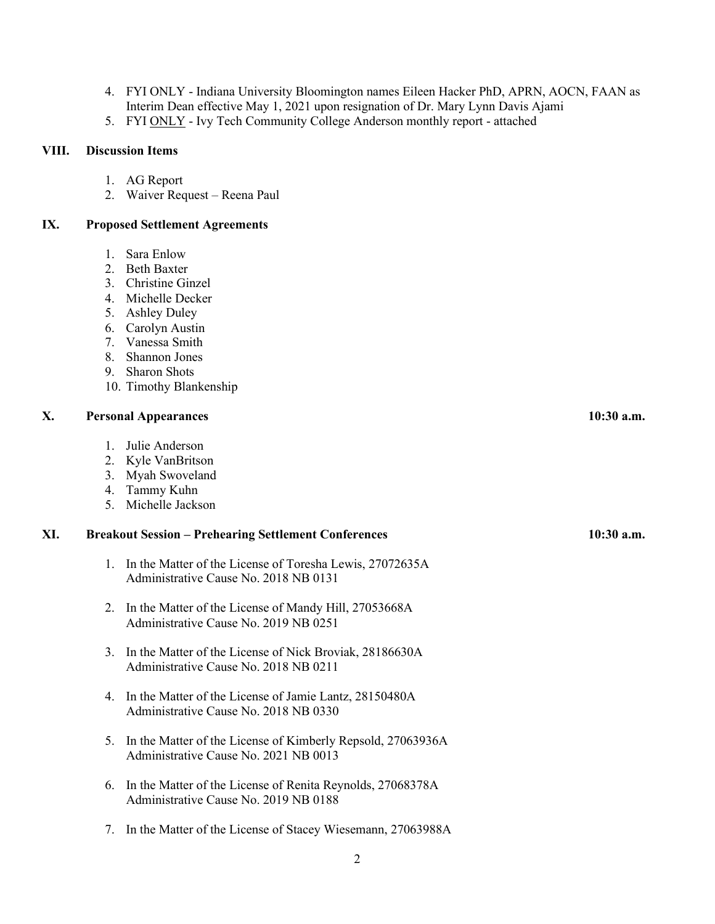- 4. FYI ONLY Indiana University Bloomington names Eileen Hacker PhD, APRN, AOCN, FAAN as Interim Dean effective May 1, 2021 upon resignation of Dr. Mary Lynn Davis Ajami
- 5. FYI ONLY Ivy Tech Community College Anderson monthly report attached

#### **VIII. Discussion Items**

- 1. AG Report
- 2. Waiver Request Reena Paul

# **IX. Proposed Settlement Agreements**

- 1. Sara Enlow
- 2. Beth Baxter
- 3. Christine Ginzel
- 4. Michelle Decker
- 5. Ashley Duley
- 6. Carolyn Austin
- 7. Vanessa Smith
- 8. Shannon Jones
- 9. Sharon Shots
- 10. Timothy Blankenship

### **X. Personal Appearances 10:30 a.m.**

- 1. Julie Anderson
- 2. Kyle VanBritson
- 3. Myah Swoveland
- 4. Tammy Kuhn
- 5. Michelle Jackson

### **XI. Breakout Session – Prehearing Settlement Conferences 10:30 a.m.**

- 1. In the Matter of the License of Toresha Lewis, 27072635A Administrative Cause No. 2018 NB 0131
- 2. In the Matter of the License of Mandy Hill, 27053668A Administrative Cause No. 2019 NB 0251
- 3. In the Matter of the License of Nick Broviak, 28186630A Administrative Cause No. 2018 NB 0211
- 4. In the Matter of the License of Jamie Lantz, 28150480A Administrative Cause No. 2018 NB 0330
- 5. In the Matter of the License of Kimberly Repsold, 27063936A Administrative Cause No. 2021 NB 0013
- 6. In the Matter of the License of Renita Reynolds, 27068378A Administrative Cause No. 2019 NB 0188
- 7. In the Matter of the License of Stacey Wiesemann, 27063988A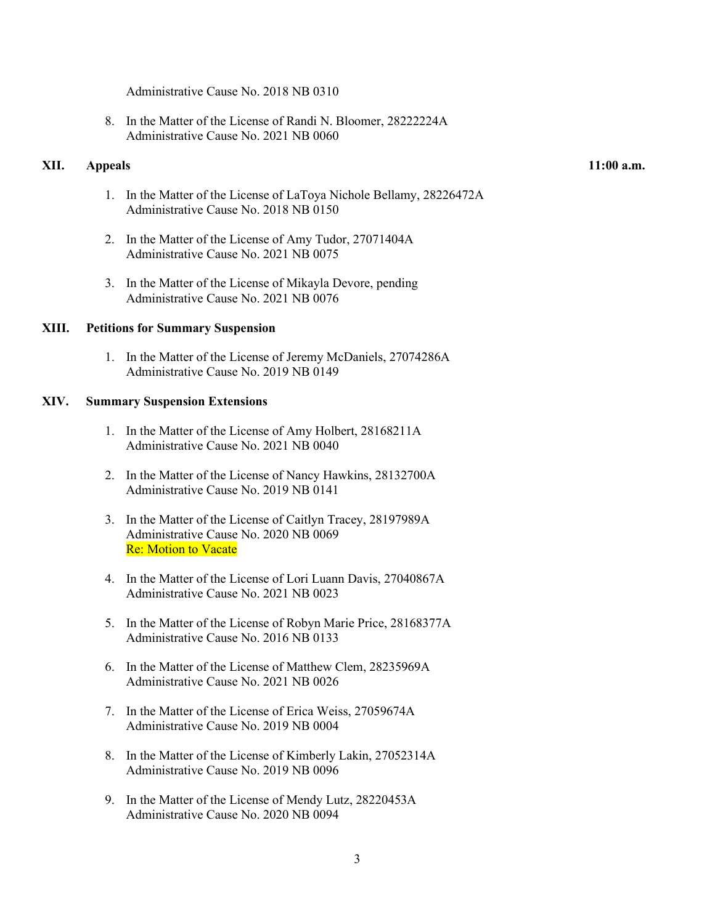Administrative Cause No. 2018 NB 0310

8. In the Matter of the License of Randi N. Bloomer, 28222224A Administrative Cause No. 2021 NB 0060

#### **XII. Appeals 11:00 a.m.**

- 1. In the Matter of the License of LaToya Nichole Bellamy, 28226472A Administrative Cause No. 2018 NB 0150
- 2. In the Matter of the License of Amy Tudor, 27071404A Administrative Cause No. 2021 NB 0075
- 3. In the Matter of the License of Mikayla Devore, pending Administrative Cause No. 2021 NB 0076

### **XIII. Petitions for Summary Suspension**

1. In the Matter of the License of Jeremy McDaniels, 27074286A Administrative Cause No. 2019 NB 0149

#### **XIV. Summary Suspension Extensions**

- 1. In the Matter of the License of Amy Holbert, 28168211A Administrative Cause No. 2021 NB 0040
- 2. In the Matter of the License of Nancy Hawkins, 28132700A Administrative Cause No. 2019 NB 0141
- 3. In the Matter of the License of Caitlyn Tracey, 28197989A Administrative Cause No. 2020 NB 0069 Re: Motion to Vacate
- 4. In the Matter of the License of Lori Luann Davis, 27040867A Administrative Cause No. 2021 NB 0023
- 5. In the Matter of the License of Robyn Marie Price, 28168377A Administrative Cause No. 2016 NB 0133
- 6. In the Matter of the License of Matthew Clem, 28235969A Administrative Cause No. 2021 NB 0026
- 7. In the Matter of the License of Erica Weiss, 27059674A Administrative Cause No. 2019 NB 0004
- 8. In the Matter of the License of Kimberly Lakin, 27052314A Administrative Cause No. 2019 NB 0096
- 9. In the Matter of the License of Mendy Lutz, 28220453A Administrative Cause No. 2020 NB 0094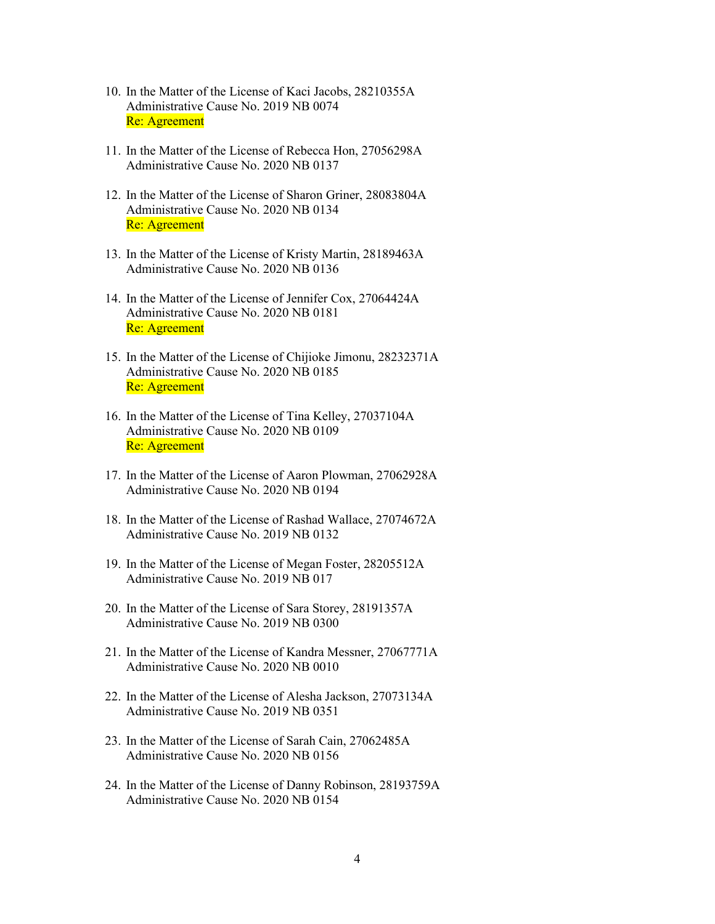- 10. In the Matter of the License of Kaci Jacobs, 28210355A Administrative Cause No. 2019 NB 0074 Re: Agreement
- 11. In the Matter of the License of Rebecca Hon, 27056298A Administrative Cause No. 2020 NB 0137
- 12. In the Matter of the License of Sharon Griner, 28083804A Administrative Cause No. 2020 NB 0134 Re: Agreement
- 13. In the Matter of the License of Kristy Martin, 28189463A Administrative Cause No. 2020 NB 0136
- 14. In the Matter of the License of Jennifer Cox, 27064424A Administrative Cause No. 2020 NB 0181 Re: Agreement
- 15. In the Matter of the License of Chijioke Jimonu, 28232371A Administrative Cause No. 2020 NB 0185 Re: Agreement
- 16. In the Matter of the License of Tina Kelley, 27037104A Administrative Cause No. 2020 NB 0109 Re: Agreement
- 17. In the Matter of the License of Aaron Plowman, 27062928A Administrative Cause No. 2020 NB 0194
- 18. In the Matter of the License of Rashad Wallace, 27074672A Administrative Cause No. 2019 NB 0132
- 19. In the Matter of the License of Megan Foster, 28205512A Administrative Cause No. 2019 NB 017
- 20. In the Matter of the License of Sara Storey, 28191357A Administrative Cause No. 2019 NB 0300
- 21. In the Matter of the License of Kandra Messner, 27067771A Administrative Cause No. 2020 NB 0010
- 22. In the Matter of the License of Alesha Jackson, 27073134A Administrative Cause No. 2019 NB 0351
- 23. In the Matter of the License of Sarah Cain, 27062485A Administrative Cause No. 2020 NB 0156
- 24. In the Matter of the License of Danny Robinson, 28193759A Administrative Cause No. 2020 NB 0154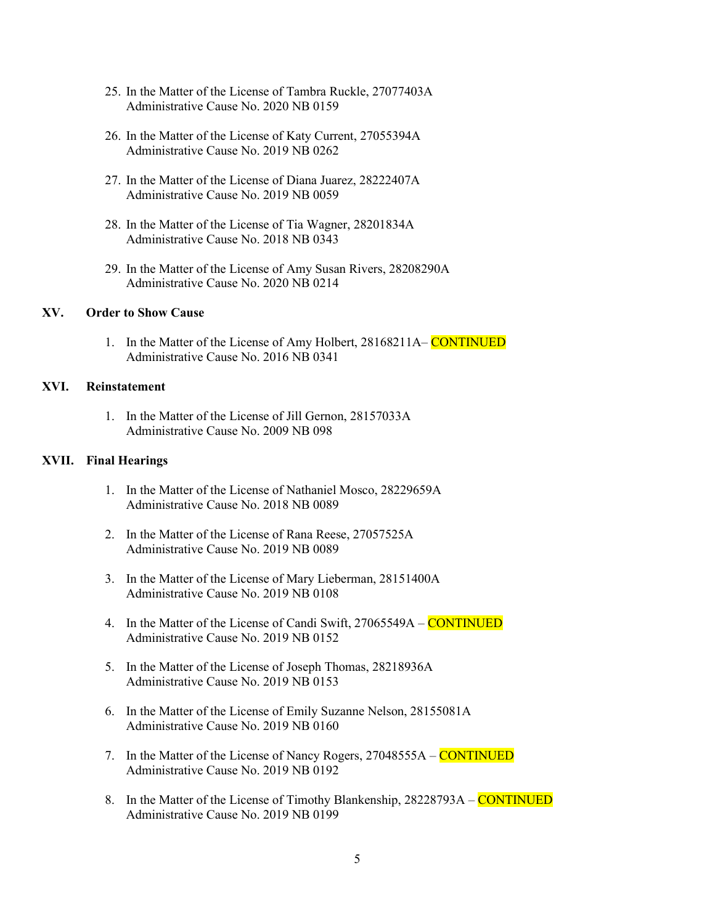- 25. In the Matter of the License of Tambra Ruckle, 27077403A Administrative Cause No. 2020 NB 0159
- 26. In the Matter of the License of Katy Current, 27055394A Administrative Cause No. 2019 NB 0262
- 27. In the Matter of the License of Diana Juarez, 28222407A Administrative Cause No. 2019 NB 0059
- 28. In the Matter of the License of Tia Wagner, 28201834A Administrative Cause No. 2018 NB 0343
- 29. In the Matter of the License of Amy Susan Rivers, 28208290A Administrative Cause No. 2020 NB 0214

### **XV. Order to Show Cause**

1. In the Matter of the License of Amy Holbert, 28168211A– CONTINUED Administrative Cause No. 2016 NB 0341

# **XVI. Reinstatement**

1. In the Matter of the License of Jill Gernon, 28157033A Administrative Cause No. 2009 NB 098

### **XVII. Final Hearings**

- 1. In the Matter of the License of Nathaniel Mosco, 28229659A Administrative Cause No. 2018 NB 0089
- 2. In the Matter of the License of Rana Reese, 27057525A Administrative Cause No. 2019 NB 0089
- 3. In the Matter of the License of Mary Lieberman, 28151400A Administrative Cause No. 2019 NB 0108
- 4. In the Matter of the License of Candi Swift, 27065549A CONTINUED Administrative Cause No. 2019 NB 0152
- 5. In the Matter of the License of Joseph Thomas, 28218936A Administrative Cause No. 2019 NB 0153
- 6. In the Matter of the License of Emily Suzanne Nelson, 28155081A Administrative Cause No. 2019 NB 0160
- 7. In the Matter of the License of Nancy Rogers, 27048555A CONTINUED Administrative Cause No. 2019 NB 0192
- 8. In the Matter of the License of Timothy Blankenship, 28228793A CONTINUED Administrative Cause No. 2019 NB 0199